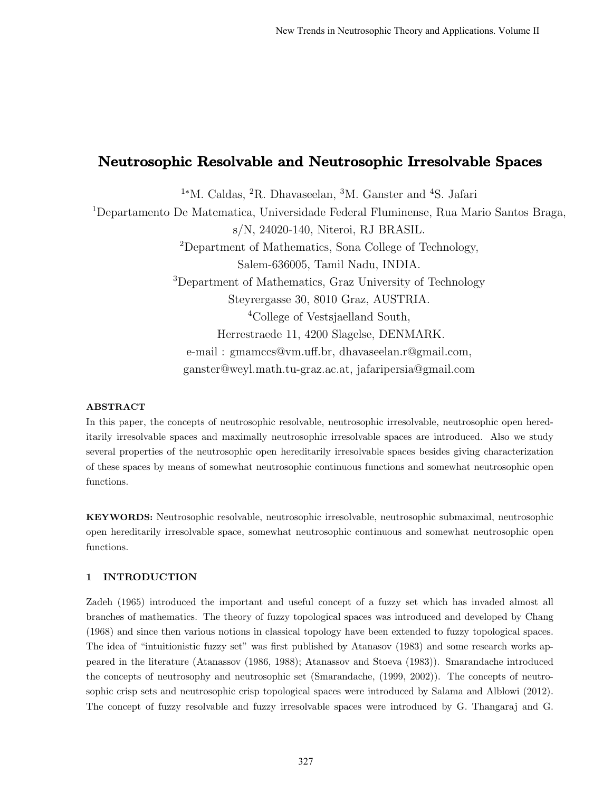# Neutrosophic Resolvable and Neutrosophic Irresolvable Spaces

<sup>1</sup><sup>∗</sup>M. Caldas, <sup>2</sup>R. Dhavaseelan, <sup>3</sup>M. Ganster and <sup>4</sup>S. Jafari <sup>1</sup>Departamento De Matematica, Universidade Federal Fluminense, Rua Mario Santos Braga, s/N, 24020-140, Niteroi, RJ BRASIL. <sup>2</sup>Department of Mathematics, Sona College of Technology, Salem-636005, Tamil Nadu, INDIA. <sup>3</sup>Department of Mathematics, Graz University of Technology Steyrergasse 30, 8010 Graz, AUSTRIA. <sup>4</sup>College of Vestsjaelland South, Herrestraede 11, 4200 Slagelse, DENMARK. e-mail : gmamccs@vm.uff.br, dhavaseelan.r@gmail.com, ganster@weyl.math.tu-graz.ac.at, jafaripersia@gmail.com

# ABSTRACT

In this paper, the concepts of neutrosophic resolvable, neutrosophic irresolvable, neutrosophic open hereditarily irresolvable spaces and maximally neutrosophic irresolvable spaces are introduced. Also we study several properties of the neutrosophic open hereditarily irresolvable spaces besides giving characterization of these spaces by means of somewhat neutrosophic continuous functions and somewhat neutrosophic open functions.

KEYWORDS: Neutrosophic resolvable, neutrosophic irresolvable, neutrosophic submaximal, neutrosophic open hereditarily irresolvable space, somewhat neutrosophic continuous and somewhat neutrosophic open functions.

## 1 INTRODUCTION

Zadeh (1965) introduced the important and useful concept of a fuzzy set which has invaded almost all branches of mathematics. The theory of fuzzy topological spaces was introduced and developed by Chang (1968) and since then various notions in classical topology have been extended to fuzzy topological spaces. The idea of "intuitionistic fuzzy set" was first published by Atanasov (1983) and some research works appeared in the literature (Atanassov (1986, 1988); Atanassov and Stoeva (1983)). Smarandache introduced the concepts of neutrosophy and neutrosophic set (Smarandache, (1999, 2002)). The concepts of neutrosophic crisp sets and neutrosophic crisp topological spaces were introduced by Salama and Alblowi (2012). The concept of fuzzy resolvable and fuzzy irresolvable spaces were introduced by G. Thangaraj and G.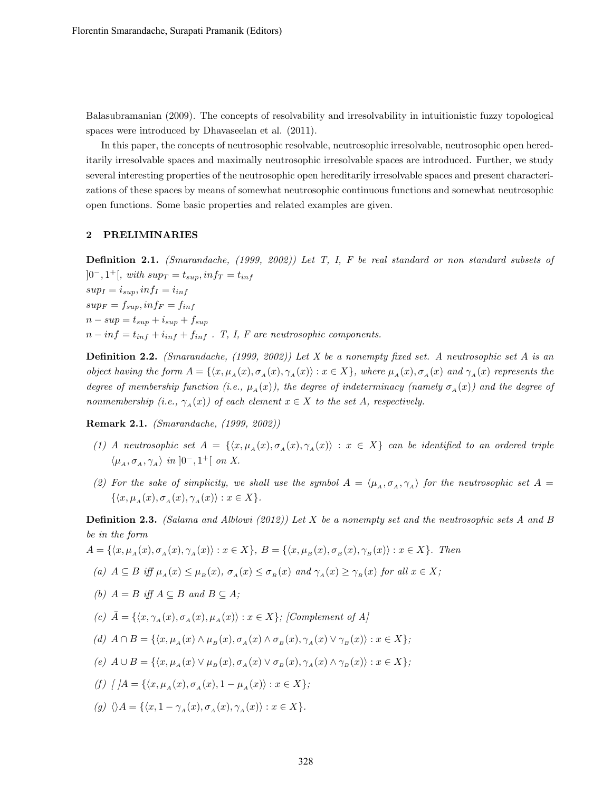Balasubramanian (2009). The concepts of resolvability and irresolvability in intuitionistic fuzzy topological spaces were introduced by Dhavaseelan et al. (2011).

In this paper, the concepts of neutrosophic resolvable, neutrosophic irresolvable, neutrosophic open hereditarily irresolvable spaces and maximally neutrosophic irresolvable spaces are introduced. Further, we study several interesting properties of the neutrosophic open hereditarily irresolvable spaces and present characterizations of these spaces by means of somewhat neutrosophic continuous functions and somewhat neutrosophic open functions. Some basic properties and related examples are given.

#### 2 PRELIMINARIES

Definition 2.1. (Smarandache, (1999, 2002)) Let T, I, F be real standard or non standard subsets of  $]0^-, 1^+[$ , with  $sup_T = t_{sup}$ ,  $inf_T = t_{inf}$  $sup_I = i_{sup}, inf_I = i_{inf}$  $sup_F = f_{sup}$ ,  $inf_F = f_{inf}$  $n - sup = t_{sup} + i_{sup} + f_{sup}$  $n - inf = t_{inf} + i_{inf} + f_{inf}$ . T, I, F are neutrosophic components.

**Definition 2.2.** (Smarandache, (1999, 2002)) Let X be a nonempty fixed set. A neutrosophic set A is an object having the form  $A = \{\langle x, \mu_A(x), \sigma_A(x), \gamma_A(x)\rangle : x \in X\}$ , where  $\mu_A(x), \sigma_A(x)$  and  $\gamma_A(x)$  represents the degree of membership function (i.e.,  $\mu_A(x)$ ), the degree of indeterminacy (namely  $\sigma_A(x)$ ) and the degree of nonmembership (i.e.,  $\gamma_A(x)$ ) of each element  $x \in X$  to the set A, respectively.

Remark 2.1. (Smarandache, (1999, 2002))

- (1) A neutrosophic set  $A = \{ \langle x, \mu_A(x), \sigma_A(x), \gamma_A(x) \rangle : x \in X \}$  can be identified to an ordered triple  $\langle \mu_A, \sigma_A, \gamma_A \rangle$  in ]0<sup>-</sup>, 1<sup>+</sup>[ on X.
- (2) For the sake of simplicity, we shall use the symbol  $A = \langle \mu_A, \sigma_A, \gamma_A \rangle$  for the neutrosophic set  $A = \langle \mu_A, \sigma_A, \gamma_A \rangle$  $\{\langle x, \mu_A(x), \sigma_A(x), \gamma_A(x)\rangle : x \in X\}.$

**Definition 2.3.** (Salama and Alblowi (2012)) Let X be a nonempty set and the neutrosophic sets A and B be in the form

$$
A = \{ \langle x, \mu_A(x), \sigma_A(x), \gamma_A(x) \rangle : x \in X \}, B = \{ \langle x, \mu_B(x), \sigma_B(x), \gamma_B(x) \rangle : x \in X \}.
$$
 Then

(a) 
$$
A \subseteq B
$$
 iff  $\mu_A(x) \leq \mu_B(x)$ ,  $\sigma_A(x) \leq \sigma_B(x)$  and  $\gamma_A(x) \geq \gamma_B(x)$  for all  $x \in X$ ;

- (b)  $A = B$  iff  $A \subseteq B$  and  $B \subseteq A$ ;
- (c)  $\bar{A} = \{ \langle x, \gamma_A(x), \sigma_A(x), \mu_A(x) \rangle : x \in X \}$ ; [Complement of A]
- (d)  $A \cap B = \{ \langle x, \mu_A(x) \wedge \mu_B(x), \sigma_A(x) \wedge \sigma_B(x), \gamma_A(x) \vee \gamma_B(x) \rangle : x \in X \};$
- (e)  $A \cup B = \{ \langle x, \mu_A(x) \vee \mu_B(x), \sigma_A(x) \vee \sigma_B(x), \gamma_A(x) \wedge \gamma_B(x) \rangle : x \in X \};$
- (f)  $[A = \{ \langle x, \mu_A(x), \sigma_A(x), 1 \mu_A(x) \rangle : x \in X \};$
- (g)  $\langle A = {\langle x, 1 \gamma_4(x), \sigma_4(x), \gamma_4(x) \rangle : x \in X}$ .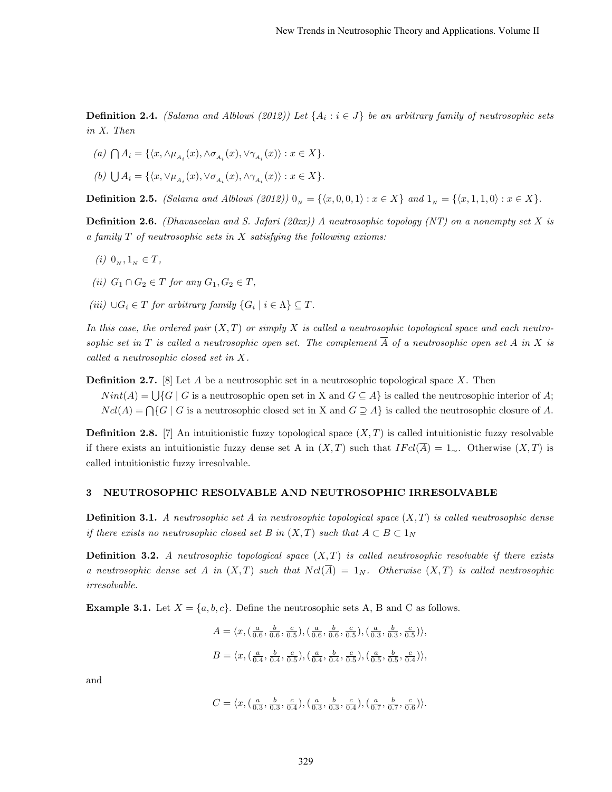**Definition 2.4.** (Salama and Alblowi (2012)) Let  $\{A_i : i \in J\}$  be an arbitrary family of neutrosophic sets in X. Then

- (a)  $\bigcap A_i = \{ \langle x, \wedge \mu_{A_i}(x), \wedge \sigma_{A_i}(x), \vee \gamma_{A_i}(x) \rangle : x \in X \}.$
- (b)  $\bigcup A_i = \{ \langle x, \vee \mu_{A_i}(x), \vee \sigma_{A_i}(x), \wedge \gamma_{A_i}(x) \rangle : x \in X \}.$

**Definition 2.5.** (Salama and Alblowi (2012))  $0_N = \{(x, 0, 0, 1) : x \in X\}$  and  $1_N = \{(x, 1, 1, 0) : x \in X\}.$ 

**Definition 2.6.** (Dhavaseelan and S. Jafari (20xx)) A neutrosophic topology (NT) on a nonempty set X is a family  $T$  of neutrosophic sets in  $X$  satisfying the following axioms:

- (i)  $0_N, 1_N \in T$ ,
- (ii)  $G_1 \cap G_2 \in T$  for any  $G_1, G_2 \in T$ ,
- $(iii) ∪ G<sub>i</sub> ∈ T for arbitrary family {G<sub>i</sub> | i ∈ Λ} ⊆ T.$

In this case, the ordered pair  $(X, T)$  or simply X is called a neutrosophic topological space and each neutrosophic set in T is called a neutrosophic open set. The complement  $\overline{A}$  of a neutrosophic open set A in X is called a neutrosophic closed set in X.

**Definition 2.7.** [8] Let A be a neutrosophic set in a neutrosophic topological space X. Then  $Nint(A) = \bigcup \{G \mid G$  is a neutrosophic open set in X and  $G \subseteq A\}$  is called the neutrosophic interior of A;  $Ncl(A) = \bigcap \{G \mid G$  is a neutrosophic closed set in X and  $G \supseteq A\}$  is called the neutrosophic closure of A.

**Definition 2.8.** [7] An intuitionistic fuzzy topological space  $(X, T)$  is called intuitionistic fuzzy resolvable if there exists an intuitionistic fuzzy dense set A in  $(X, T)$  such that  $IFcl(\overline{A}) = 1_{\sim}$ . Otherwise  $(X, T)$  is called intuitionistic fuzzy irresolvable.

#### 3 NEUTROSOPHIC RESOLVABLE AND NEUTROSOPHIC IRRESOLVABLE

**Definition 3.1.** A neutrosophic set A in neutrosophic topological space  $(X, T)$  is called neutrosophic dense if there exists no neutrosophic closed set B in  $(X,T)$  such that  $A \subset B \subset 1_N$ 

**Definition 3.2.** A neutrosophic topological space  $(X, T)$  is called neutrosophic resolvable if there exists a neutrosophic dense set A in  $(X,T)$  such that  $Ncl(\overline{A}) = 1_N$ . Otherwise  $(X,T)$  is called neutrosophic irresolvable.

**Example 3.1.** Let  $X = \{a, b, c\}$ . Define the neutrosophic sets A, B and C as follows.

$$
A = \langle x, (\frac{a}{0.6}, \frac{b}{0.6}, \frac{c}{0.5}), (\frac{a}{0.6}, \frac{b}{0.6}, \frac{c}{0.5}), (\frac{a}{0.3}, \frac{b}{0.3}, \frac{c}{0.5}) \rangle,
$$
  

$$
B = \langle x, (\frac{a}{0.4}, \frac{b}{0.4}, \frac{c}{0.5}), (\frac{a}{0.4}, \frac{b}{0.4}, \frac{c}{0.5}), (\frac{a}{0.5}, \frac{b}{0.5}, \frac{c}{0.4}) \rangle,
$$

and

$$
C = \langle x, (\frac{a}{0.3}, \frac{b}{0.3}, \frac{c}{0.4}), (\frac{a}{0.3}, \frac{b}{0.3}, \frac{c}{0.4}), (\frac{a}{0.7}, \frac{b}{0.7}, \frac{c}{0.6}) \rangle.
$$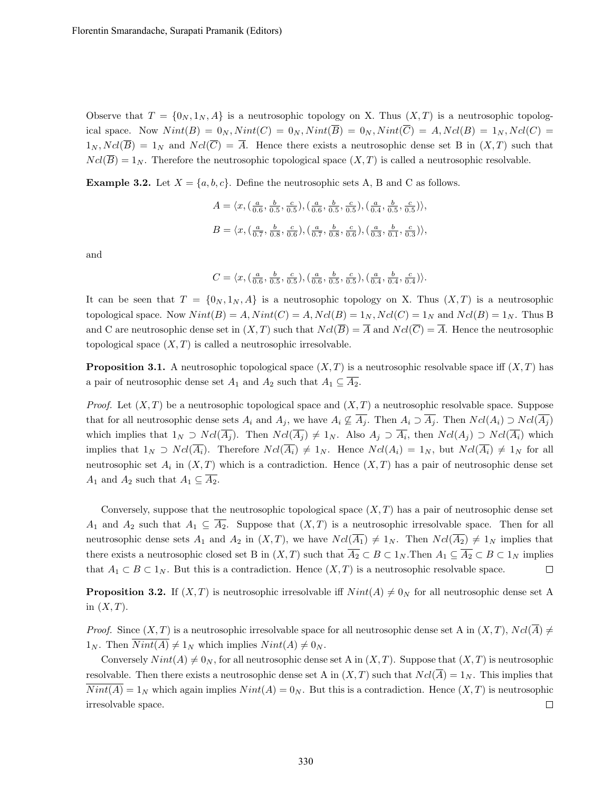Observe that  $T = \{0_N, 1_N, A\}$  is a neutrosophic topology on X. Thus  $(X, T)$  is a neutrosophic topological space. Now  $Nint(B) = 0_N$ ,  $Nint(C) = 0_N$ ,  $Nint(\overline{B}) = 0_N$ ,  $Nint(\overline{C}) = A$ ,  $Ncl(B) = 1_N$ ,  $Ncl(C) =$  $1_N, Ncl(\overline{B}) = 1_N$  and  $Ncl(\overline{C}) = \overline{A}$ . Hence there exists a neutrosophic dense set B in  $(X,T)$  such that  $Ncl(\overline{B}) = 1_N$ . Therefore the neutrosophic topological space  $(X, T)$  is called a neutrosophic resolvable.

**Example 3.2.** Let  $X = \{a, b, c\}$ . Define the neutrosophic sets A, B and C as follows.

$$
A = \langle x, (\frac{a}{0.6}, \frac{b}{0.5}, \frac{c}{0.5}), (\frac{a}{0.6}, \frac{b}{0.5}, \frac{c}{0.5}), (\frac{a}{0.4}, \frac{b}{0.5}, \frac{c}{0.5}) \rangle,
$$
  

$$
B = \langle x, (\frac{a}{0.7}, \frac{b}{0.8}, \frac{c}{0.6}), (\frac{a}{0.7}, \frac{b}{0.8}, \frac{c}{0.6}), (\frac{a}{0.3}, \frac{b}{0.1}, \frac{c}{0.3}) \rangle,
$$

and

$$
C = \langle x, (\tfrac{a}{0.6}, \tfrac{b}{0.5}, \tfrac{c}{0.5}), (\tfrac{a}{0.6}, \tfrac{b}{0.5}, \tfrac{c}{0.5}), (\tfrac{a}{0.4}, \tfrac{b}{0.4}, \tfrac{c}{0.4}) \rangle.
$$

It can be seen that  $T = \{0_N, 1_N, A\}$  is a neutrosophic topology on X. Thus  $(X, T)$  is a neutrosophic topological space. Now  $Nint(B) = A$ ,  $Nint(C) = A$ ,  $Ncl(B) = 1<sub>N</sub>$ ,  $Ncl(C) = 1<sub>N</sub>$  and  $Ncl(B) = 1<sub>N</sub>$ . Thus B and C are neutrosophic dense set in  $(X, T)$  such that  $Ncl(\overline{B}) = \overline{A}$  and  $Ncl(\overline{C}) = \overline{A}$ . Hence the neutrosophic topological space  $(X, T)$  is called a neutrosophic irresolvable.

**Proposition 3.1.** A neutrosophic topological space  $(X, T)$  is a neutrosophic resolvable space iff  $(X, T)$  has a pair of neutrosophic dense set  $A_1$  and  $A_2$  such that  $A_1 \subseteq \overline{A_2}$ .

*Proof.* Let  $(X, T)$  be a neutrosophic topological space and  $(X, T)$  a neutrosophic resolvable space. Suppose that for all neutrosophic dense sets  $A_i$  and  $A_j$ , we have  $A_i \nsubseteq \overline{A_j}$ . Then  $A_i \supset \overline{A_j}$ . Then  $Ncl(A_i) \supset Ncl(\overline{A_j})$ which implies that  $1_N \supset Ncl(A_j)$ . Then  $Ncl(A_j) \neq 1_N$ . Also  $A_j \supset A_i$ , then  $Ncl(A_j) \supset Ncl(A_i)$  which implies that  $1_N \supset Ncl(\overline{A_i})$ . Therefore  $Ncl(\overline{A_i}) \neq 1_N$ . Hence  $Ncl(A_i) = 1_N$ , but  $Ncl(\overline{A_i}) \neq 1_N$  for all neutrosophic set  $A_i$  in  $(X,T)$  which is a contradiction. Hence  $(X,T)$  has a pair of neutrosophic dense set  $A_1$  and  $A_2$  such that  $A_1 \subseteq \overline{A_2}$ .

Conversely, suppose that the neutrosophic topological space  $(X, T)$  has a pair of neutrosophic dense set  $A_1$  and  $A_2$  such that  $A_1 \subseteq \overline{A_2}$ . Suppose that  $(X,T)$  is a neutrosophic irresolvable space. Then for all neutrosophic dense sets  $A_1$  and  $A_2$  in  $(X, T)$ , we have  $N cl(\overline{A_1}) \neq 1_N$ . Then  $N cl(\overline{A_2}) \neq 1_N$  implies that there exists a neutrosophic closed set B in  $(X,T)$  such that  $\overline{A_2} \subset B \subset 1_N$ . Then  $A_1 \subseteq \overline{A_2} \subset B \subset 1_N$  implies that  $A_1 \subset B \subset 1_N$ . But this is a contradiction. Hence  $(X, T)$  is a neutrosophic resolvable space.  $\Box$ 

**Proposition 3.2.** If  $(X, T)$  is neutrosophic irresolvable iff  $Nint(A) \neq 0_N$  for all neutrosophic dense set A in  $(X, T)$ .

*Proof.* Since  $(X, T)$  is a neutrosophic irresolvable space for all neutrosophic dense set A in  $(X, T)$ ,  $Ncl(\overline{A}) \neq$  $1_N$ . Then  $\overline{Nint(A)} \neq 1_N$  which implies  $Nint(A) \neq 0_N$ .

Conversely  $Nint(A) \neq 0_N$ , for all neutrosophic dense set A in  $(X, T)$ . Suppose that  $(X, T)$  is neutrosophic resolvable. Then there exists a neutrosophic dense set A in  $(X, T)$  such that  $Ncl(\overline{A}) = 1_N$ . This implies that  $\overline{Nint(A)} = 1_N$  which again implies  $Nint(A) = 0_N$ . But this is a contradiction. Hence  $(X, T)$  is neutrosophic irresolvable space.  $\Box$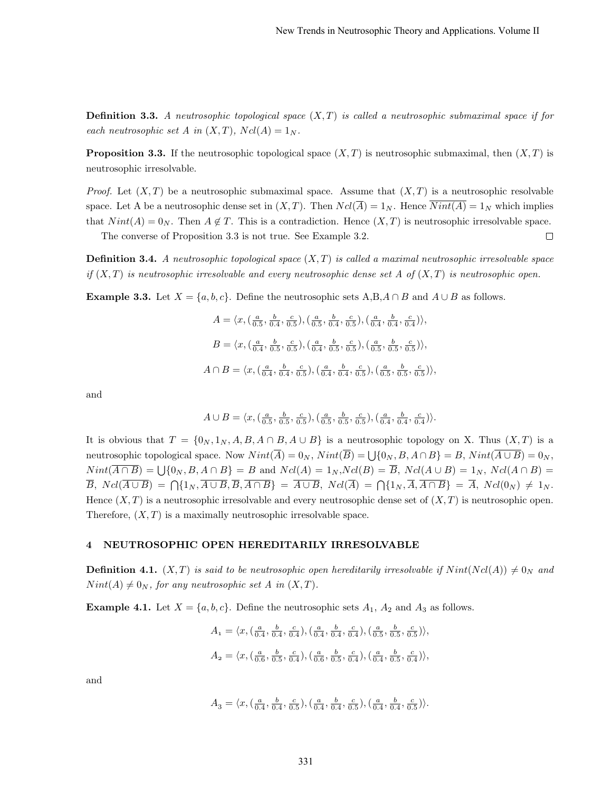$\Box$ 

**Definition 3.3.** A neutrosophic topological space  $(X, T)$  is called a neutrosophic submaximal space if for each neutrosophic set A in  $(X, T)$ ,  $Ncl(A) = 1_N$ .

**Proposition 3.3.** If the neutrosophic topological space  $(X, T)$  is neutrosophic submaximal, then  $(X, T)$  is neutrosophic irresolvable.

*Proof.* Let  $(X, T)$  be a neutrosophic submaximal space. Assume that  $(X, T)$  is a neutrosophic resolvable space. Let A be a neutrosophic dense set in  $(X, T)$ . Then  $Ncl(\overline{A}) = 1_N$ . Hence  $\overline{Nint(A)} = 1_N$  which implies that  $Nint(A) = 0_N$ . Then  $A \notin T$ . This is a contradiction. Hence  $(X, T)$  is neutrosophic irresolvable space.

The converse of Proposition 3.3 is not true. See Example 3.2.

**Definition 3.4.** A neutrosophic topological space  $(X, T)$  is called a maximal neutrosophic irresolvable space if  $(X,T)$  is neutrosophic irresolvable and every neutrosophic dense set A of  $(X,T)$  is neutrosophic open.

**Example 3.3.** Let  $X = \{a, b, c\}$ . Define the neutrosophic sets  $A, B, A \cap B$  and  $A \cup B$  as follows.

$$
A = \langle x, (\frac{a}{0.5}, \frac{b}{0.4}, \frac{c}{0.5}), (\frac{a}{0.5}, \frac{b}{0.4}, \frac{c}{0.5}), (\frac{a}{0.4}, \frac{b}{0.4}, \frac{c}{0.4}) \rangle,
$$
  

$$
B = \langle x, (\frac{a}{0.4}, \frac{b}{0.5}, \frac{c}{0.5}), (\frac{a}{0.4}, \frac{b}{0.5}, \frac{c}{0.5}), (\frac{a}{0.5}, \frac{b}{0.5}, \frac{c}{0.5}) \rangle,
$$
  

$$
A \cap B = \langle x, (\frac{a}{0.4}, \frac{b}{0.4}, \frac{c}{0.5}), (\frac{a}{0.4}, \frac{b}{0.5}, \frac{c}{0.5}), (\frac{a}{0.5}, \frac{b}{0.5}, \frac{c}{0.5}) \rangle,
$$

and

$$
A \cup B = \langle x, (\frac{a}{0.5}, \frac{b}{0.5}, \frac{c}{0.5}), (\frac{a}{0.5}, \frac{b}{0.5}, \frac{c}{0.5}), (\frac{a}{0.4}, \frac{b}{0.4}, \frac{c}{0.4}) \rangle.
$$

It is obvious that  $T = \{0_N, 1_N, A, B, A \cap B, A \cup B\}$  is a neutrosophic topology on X. Thus  $(X, T)$  is a neutrosophic topological space. Now  $Nint(\overline{A}) = 0_N$ ,  $Nint(\overline{B}) = \bigcup \{0_N, B, A \cap B\} = B$ ,  $Nint(\overline{A \cup B}) = 0_N$ ,  $Nint(\overline{A \cap B}) = \bigcup \{0_N, B, A \cap B\} = B$  and  $Ncl(A) = 1_N, Ncl(B) = \overline{B}$ ,  $Ncl(A \cup B) = 1_N, Ncl(A \cap B) = \emptyset$  $\overline{B}$ ,  $Ncl(\overline{A\cup B}) = \bigcap \{1_N, \overline{A\cup B}, \overline{B}, \overline{A\cap B}\} = \overline{A\cup B}$ ,  $Ncl(\overline{A}) = \bigcap \{1_N, \overline{A}, \overline{A\cap B}\} = \overline{A}$ ,  $Ncl(0_N) \neq 1_N$ . Hence  $(X, T)$  is a neutrosophic irresolvable and every neutrosophic dense set of  $(X, T)$  is neutrosophic open. Therefore,  $(X, T)$  is a maximally neutrosophic irresolvable space.

# 4 NEUTROSOPHIC OPEN HEREDITARILY IRRESOLVABLE

**Definition 4.1.**  $(X, T)$  is said to be neutrosophic open hereditarily irresolvable if  $Nint(Ncl(A)) \neq 0_N$  and  $Nint(A) \neq 0_N$ , for any neutrosophic set A in  $(X, T)$ .

**Example 4.1.** Let  $X = \{a, b, c\}$ . Define the neutrosophic sets  $A_1$ ,  $A_2$  and  $A_3$  as follows.

$$
A_1 = \langle x, (\frac{a}{0.4}, \frac{b}{0.4}, \frac{c}{0.4}), (\frac{a}{0.4}, \frac{b}{0.4}, \frac{c}{0.4}), (\frac{a}{0.5}, \frac{b}{0.5}, \frac{c}{0.5}) \rangle,
$$
  

$$
A_2 = \langle x, (\frac{a}{0.6}, \frac{b}{0.5}, \frac{c}{0.4}), (\frac{a}{0.6}, \frac{b}{0.5}, \frac{c}{0.4}), (\frac{a}{0.4}, \frac{b}{0.5}, \frac{c}{0.4}) \rangle,
$$

and

$$
A_3 = \langle x, (\frac{a}{0.4}, \frac{b}{0.4}, \frac{c}{0.5}), (\frac{a}{0.4}, \frac{b}{0.4}, \frac{c}{0.5}), (\frac{a}{0.4}, \frac{b}{0.4}, \frac{c}{0.5}) \rangle.
$$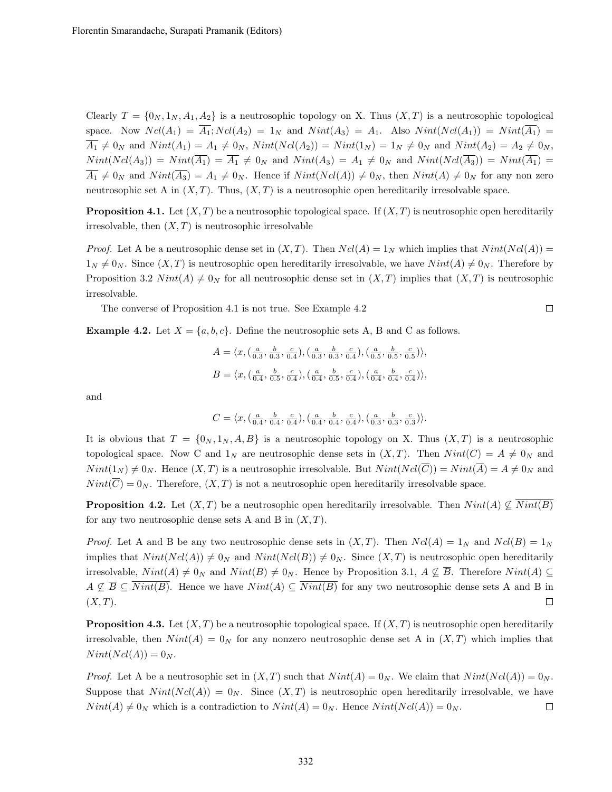Clearly  $T = \{0_N, 1_N, A_1, A_2\}$  is a neutrosophic topology on X. Thus  $(X, T)$  is a neutrosophic topological space. Now  $Ncl(A_1) = \overline{A_1}$ ;  $Ncl(A_2) = 1_N$  and  $Nint(A_3) = A_1$ . Also  $Nint(Ncl(A_1)) = Nint(\overline{A_1})$  $\overline{A_1} \neq 0_N$  and  $Nint(A_1) = A_1 \neq 0_N$ ,  $Nint(Ncl(A_2)) = Nint(1_N) = 1_N \neq 0_N$  and  $Nint(A_2) = A_2 \neq 0_N$ ,  $Nint(Ncl(A_3)) = Nint(\overline{A_1}) = \overline{A_1} \neq 0_N$  and  $Nint(A_3) = A_1 \neq 0_N$  and  $Nint(Ncl(\overline{A_3})) = Nint(\overline{A_1}) =$  $\overline{A_1} \neq 0_N$  and  $Nint(\overline{A_3}) = A_1 \neq 0_N$ . Hence if  $Nint(Ncl(A)) \neq 0_N$ , then  $Nint(A) \neq 0_N$  for any non zero neutrosophic set A in  $(X, T)$ . Thus,  $(X, T)$  is a neutrosophic open hereditarily irresolvable space.

**Proposition 4.1.** Let  $(X, T)$  be a neutrosophic topological space. If  $(X, T)$  is neutrosophic open hereditarily irresolvable, then  $(X, T)$  is neutrosophic irresolvable

*Proof.* Let A be a neutrosophic dense set in  $(X, T)$ . Then  $Ncl(A) = 1_N$  which implies that  $Nint(Ncl(A)) =$  $1_N \neq 0_N$ . Since  $(X,T)$  is neutrosophic open hereditarily irresolvable, we have  $Nint(A) \neq 0_N$ . Therefore by Proposition 3.2  $Nint(A) \neq 0_N$  for all neutrosophic dense set in  $(X, T)$  implies that  $(X, T)$  is neutrosophic irresolvable.

 $\Box$ 

The converse of Proposition 4.1 is not true. See Example 4.2

**Example 4.2.** Let  $X = \{a, b, c\}$ . Define the neutrosophic sets A, B and C as follows.

$$
A = \langle x, (\frac{a}{0.3}, \frac{b}{0.3}, \frac{c}{0.4}), (\frac{a}{0.3}, \frac{b}{0.3}, \frac{c}{0.4}), (\frac{a}{0.5}, \frac{b}{0.5}, \frac{c}{0.5}) \rangle,
$$
  

$$
B = \langle x, (\frac{a}{0.4}, \frac{b}{0.5}, \frac{c}{0.4}), (\frac{a}{0.4}, \frac{b}{0.5}, \frac{c}{0.4}), (\frac{a}{0.4}, \frac{b}{0.4}, \frac{c}{0.4}) \rangle,
$$

and

$$
C = \langle x, (\frac{a}{0.4}, \frac{b}{0.4}, \frac{c}{0.4}), (\frac{a}{0.4}, \frac{b}{0.4}, \frac{c}{0.4}), (\frac{a}{0.3}, \frac{b}{0.3}, \frac{c}{0.3}) \rangle.
$$

It is obvious that  $T = \{0_N, 1_N, A, B\}$  is a neutrosophic topology on X. Thus  $(X, T)$  is a neutrosophic topological space. Now C and  $1_N$  are neutrosophic dense sets in  $(X, T)$ . Then  $Nint(C) = A \neq 0_N$  and  $Nint(1_N) \neq 0_N$ . Hence  $(X, T)$  is a neutrosophic irresolvable. But  $Nint(Ncl(\overline{C})) = Nint(\overline{A}) = A \neq 0_N$  and  $Nint(\overline{C}) = 0_N$ . Therefore,  $(X, T)$  is not a neutrosophic open hereditarily irresolvable space.

**Proposition 4.2.** Let  $(X, T)$  be a neutrosophic open hereditarily irresolvable. Then  $Nint(A) \nsubseteq Nint(B)$ for any two neutrosophic dense sets A and B in  $(X, T)$ .

*Proof.* Let A and B be any two neutrosophic dense sets in  $(X, T)$ . Then  $Ncl(A) = 1_N$  and  $Ncl(B) = 1_N$ implies that  $Nint(Ncl(A)) \neq 0_N$  and  $Nint(Ncl(B)) \neq 0_N$ . Since  $(X, T)$  is neutrosophic open hereditarily irresolvable,  $Nint(A) \neq 0_N$  and  $Nint(B) \neq 0_N$ . Hence by Proposition 3.1,  $A \nsubseteq \overline{B}$ . Therefore  $Nint(A) \subseteq$  $A \nsubseteq \overline{B} \subseteq \overline{Nint(B)}$ . Hence we have  $Nint(A) \subseteq \overline{Nint(B)}$  for any two neutrosophic dense sets A and B in  $(X, T)$ .  $\Box$ 

**Proposition 4.3.** Let  $(X, T)$  be a neutrosophic topological space. If  $(X, T)$  is neutrosophic open hereditarily irresolvable, then  $Nint(A) = 0_N$  for any nonzero neutrosophic dense set A in  $(X, T)$  which implies that  $Nint(Ncl(A)) = 0_N.$ 

*Proof.* Let A be a neutrosophic set in  $(X, T)$  such that  $Nint(A) = 0_N$ . We claim that  $Nint(Ncl(A)) = 0_N$ . Suppose that  $Nint(Ncl(A)) = 0_N$ . Since  $(X, T)$  is neutrosophic open hereditarily irresolvable, we have  $Nint(A) \neq 0_N$  which is a contradiction to  $Nint(A) = 0_N$ . Hence  $Nint(Ncl(A)) = 0_N$ .  $\Box$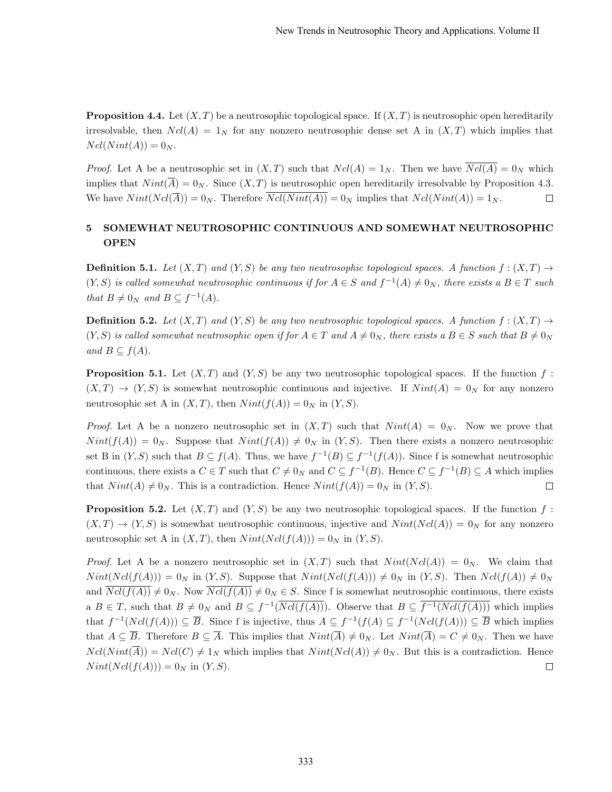**Proposition 4.4.** Let  $(X, T)$  be a neutrosophic topological space. If  $(X, T)$  is neutrosophic open hereditarily irresolvable, then  $Ncl(A) = 1_N$  for any nonzero neutrosophic dense set A in  $(X, T)$  which implies that  $Ncl(Nint(A)) = 0_N$ .

*Proof.* Let A be a neutrosophic set in  $(X, T)$  such that  $Ncl(A) = 1_N$ . Then we have  $Ncl(A) = 0_N$  which implies that  $Nint(\overline{A}) = 0_N$ . Since  $(X, T)$  is neutrosophic open hereditarily irresolvable by Proposition 4.3. We have  $Nint(Ncl(\overline{A})) = 0_N$ . Therefore  $\overline{Ncl(Nint(A))} = 0_N$  implies that  $Ncl(Nint(A)) = 1_N$ .  $\Box$ 

# 5 SOMEWHAT NEUTROSOPHIC CONTINUOUS AND SOMEWHAT NEUTROSOPHIC OPEN

**Definition 5.1.** Let  $(X, T)$  and  $(Y, S)$  be any two neutrosophic topological spaces. A function  $f : (X, T) \rightarrow$  $(Y, S)$  is called somewhat neutrosophic continuous if for  $A \in S$  and  $f^{-1}(A) \neq 0_N$ , there exists a  $B \in T$  such that  $B \neq 0_N$  and  $B \subseteq f^{-1}(A)$ .

**Definition 5.2.** Let  $(X, T)$  and  $(Y, S)$  be any two neutrosophic topological spaces. A function  $f : (X, T) \rightarrow$  $(Y, S)$  is called somewhat neutrosophic open if for  $A \in T$  and  $A \neq 0_N$ , there exists a  $B \in S$  such that  $B \neq 0_N$ and  $B \subseteq f(A)$ .

**Proposition 5.1.** Let  $(X, T)$  and  $(Y, S)$  be any two neutrosophic topological spaces. If the function f:  $(X, T) \to (Y, S)$  is somewhat neutrosophic continuous and injective. If  $Nint(A) = 0<sub>N</sub>$  for any nonzero neutrosophic set A in  $(X, T)$ , then  $Nint(f(A)) = 0_N$  in  $(Y, S)$ .

*Proof.* Let A be a nonzero neutrosophic set in  $(X,T)$  such that  $Nint(A) = 0_N$ . Now we prove that  $Nint(f(A)) = 0_N$ . Suppose that  $Nint(f(A)) \neq 0_N$  in  $(Y, S)$ . Then there exists a nonzero neutrosophic set B in  $(Y, S)$  such that  $B \subseteq f(A)$ . Thus, we have  $f^{-1}(B) \subseteq f^{-1}(f(A))$ . Since f is somewhat neutrosophic continuous, there exists a  $C \in T$  such that  $C \neq 0_N$  and  $C \subseteq f^{-1}(B)$ . Hence  $C \subseteq f^{-1}(B) \subseteq A$  which implies that  $Nint(A) \neq 0_N$ . This is a contradiction. Hence  $Nint(f(A)) = 0_N$  in  $(Y, S)$ .  $\Box$ 

**Proposition 5.2.** Let  $(X, T)$  and  $(Y, S)$  be any two neutrosophic topological spaces. If the function f:  $(X, T) \to (Y, S)$  is somewhat neutrosophic continuous, injective and  $Nint(Ncl(A)) = 0_N$  for any nonzero neutrosophic set A in  $(X, T)$ , then  $Nint(Ncl(f(A))) = 0_N$  in  $(Y, S)$ .

*Proof.* Let A be a nonzero neutrosophic set in  $(X,T)$  such that  $Nint(Ncl(A)) = 0_N$ . We claim that  $Nint(Ncl(f(A))) = 0_N$  in  $(Y, S)$ . Suppose that  $Nint(Ncl(f(A))) \neq 0_N$  in  $(Y, S)$ . Then  $Ncl(f(A)) \neq 0_N$ and  $\overline{Ncl(f(A))} \neq 0_N$ . Now  $\overline{Ncl(f(A))} \neq 0_N \in S$ . Since f is somewhat neutrosophic continuous, there exists a  $B \in T$ , such that  $B \neq 0_N$  and  $B \subseteq f^{-1}(\overline{Ncl(f(A))})$ . Observe that  $B \subseteq \overline{f^{-1}(Ncl(f(A)))}$  which implies that  $f^{-1}(Ncl(f(A))) \subseteq \overline{B}$ . Since f is injective, thus  $A \subseteq f^{-1}(f(A)) \subseteq f^{-1}(Ncl(f(A))) \subseteq \overline{B}$  which implies that  $A \subseteq \overline{B}$ . Therefore  $B \subseteq \overline{A}$ . This implies that  $Nint(\overline{A}) \neq 0_N$ . Let  $Nint(\overline{A}) = C \neq 0_N$ . Then we have  $Ncl(Nint(\overline{A})) = Ncl(C) \neq 1_N$  which implies that  $Nint(Ncl(A)) \neq 0_N$ . But this is a contradiction. Hence  $Nint(Ncl(f(A))) = 0_N$  in  $(Y, S)$ .  $\Box$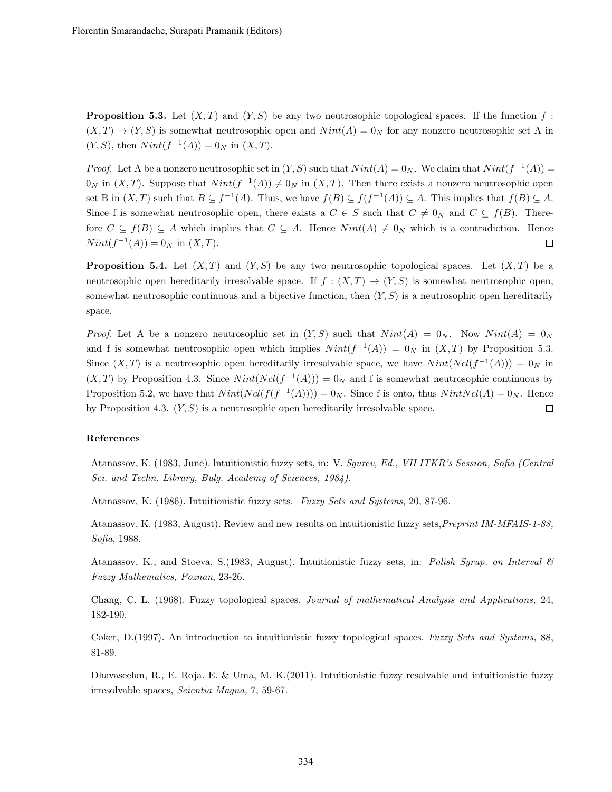**Proposition 5.3.** Let  $(X, T)$  and  $(Y, S)$  be any two neutrosophic topological spaces. If the function f:  $(X, T) \to (Y, S)$  is somewhat neutrosophic open and  $Nint(A) = 0<sub>N</sub>$  for any nonzero neutrosophic set A in  $(Y, S)$ , then  $Nint(f^{-1}(A)) = 0_N$  in  $(X, T)$ .

*Proof.* Let A be a nonzero neutrosophic set in  $(Y, S)$  such that  $Nint(A) = 0_N$ . We claim that  $Nint(f^{-1}(A)) =$  $0_N$  in  $(X,T)$ . Suppose that  $Nint(f^{-1}(A)) \neq 0_N$  in  $(X,T)$ . Then there exists a nonzero neutrosophic open set B in  $(X,T)$  such that  $B \subseteq f^{-1}(A)$ . Thus, we have  $f(B) \subseteq f(f^{-1}(A)) \subseteq A$ . This implies that  $f(B) \subseteq A$ . Since f is somewhat neutrosophic open, there exists a  $C \in S$  such that  $C \neq 0_N$  and  $C \subseteq f(B)$ . Therefore  $C \subseteq f(B) \subseteq A$  which implies that  $C \subseteq A$ . Hence  $Nint(A) \neq 0_N$  which is a contradiction. Hence  $Nint(f^{-1}(A)) = 0_N$  in  $(X, T)$ .  $\Box$ 

**Proposition 5.4.** Let  $(X, T)$  and  $(Y, S)$  be any two neutrosophic topological spaces. Let  $(X, T)$  be a neutrosophic open hereditarily irresolvable space. If  $f : (X,T) \to (Y,S)$  is somewhat neutrosophic open, somewhat neutrosophic continuous and a bijective function, then  $(Y, S)$  is a neutrosophic open hereditarily space.

*Proof.* Let A be a nonzero neutrosophic set in  $(Y, S)$  such that  $Nint(A) = 0_N$ . Now  $Nint(A) = 0_N$ and f is somewhat neutrosophic open which implies  $Nint(f^{-1}(A)) = 0_N$  in  $(X, T)$  by Proposition 5.3. Since  $(X, T)$  is a neutrosophic open hereditarily irresolvable space, we have  $Nint(Ncl(f^{-1}(A))) = 0_N$  in  $(X, T)$  by Proposition 4.3. Since  $Nint(Ncl(f^{-1}(A))) = 0_N$  and f is somewhat neutrosophic continuous by Proposition 5.2, we have that  $Nint(Ncl(f(f^{-1}(A))))=0_N$ . Since f is onto, thus  $NintNcl(A)=0_N$ . Hence by Proposition 4.3.  $(Y, S)$  is a neutrosophic open hereditarily irresolvable space.  $\Box$ 

#### References

Atanassov, K. (1983, June). lntuitionistic fuzzy sets, in: V. Sgurev, Ed., VII ITKR's Session, Sofia (Central Sci. and Techn. Library, Bulg. Academy of Sciences, 1984).

Atanassov, K. (1986). Intuitionistic fuzzy sets. Fuzzy Sets and Systems, 20, 87-96.

Atanassov, K. (1983, August). Review and new results on intuitionistic fuzzy sets,Preprint IM-MFAIS-1-88, Sofia, 1988.

Atanassov, K., and Stoeva, S.(1983, August). Intuitionistic fuzzy sets, in: Polish Syrup. on Interval  $\mathcal C$ Fuzzy Mathematics, Poznan, 23-26.

Chang, C. L. (1968). Fuzzy topological spaces. Journal of mathematical Analysis and Applications, 24, 182-190.

Coker, D.(1997). An introduction to intuitionistic fuzzy topological spaces. Fuzzy Sets and Systems, 88, 81-89.

Dhavaseelan, R., E. Roja. E. & Uma, M. K.(2011). Intuitionistic fuzzy resolvable and intuitionistic fuzzy irresolvable spaces, Scientia Magna, 7, 59-67.